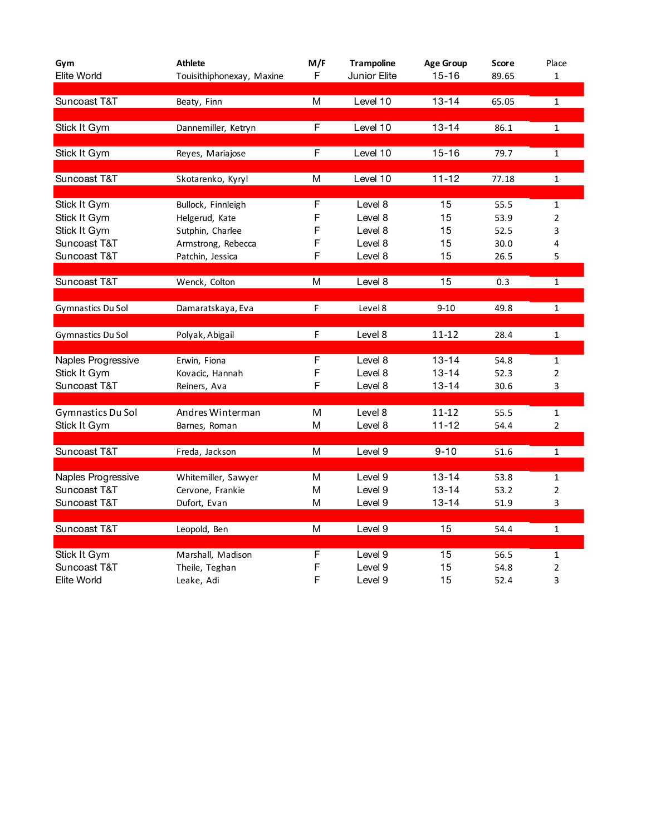| Gym                          | <b>Athlete</b>                     | M/F    | <b>Trampoline</b>  | <b>Age Group</b> | <b>Score</b> | Place               |
|------------------------------|------------------------------------|--------|--------------------|------------------|--------------|---------------------|
| Elite World                  | Touisithiphonexay, Maxine          | F      | Junior Elite       | $15 - 16$        | 89.65        | $\mathbf{1}$        |
|                              |                                    |        |                    |                  |              |                     |
| Suncoast T&T                 | Beaty, Finn                        | M      | Level 10           | $13 - 14$        | 65.05        | $\mathbf 1$         |
| Stick It Gym                 | Dannemiller, Ketryn                | F      | Level 10           | $13 - 14$        | 86.1         | $\mathbf{1}$        |
|                              |                                    |        |                    |                  |              |                     |
| Stick It Gym                 | Reyes, Mariajose                   | F      | Level 10           | $15 - 16$        | 79.7         | $\mathbf{1}$        |
|                              |                                    |        |                    |                  |              |                     |
| Suncoast T&T                 | Skotarenko, Kyryl                  | M      | Level 10           | $11 - 12$        | 77.18        | $\mathbf{1}$        |
|                              |                                    |        |                    |                  |              |                     |
| Stick It Gym                 | Bullock, Finnleigh                 | F<br>F | Level 8            | 15<br>15         | 55.5         | $\mathbf{1}$        |
| Stick It Gym<br>Stick It Gym | Helgerud, Kate<br>Sutphin, Charlee | F      | Level 8<br>Level 8 | 15               | 53.9<br>52.5 | $\overline{2}$<br>3 |
| Suncoast T&T                 | Armstrong, Rebecca                 | F      | Level 8            | 15               | 30.0         | 4                   |
| Suncoast T&T                 | Patchin, Jessica                   | F      | Level 8            | 15               | 26.5         | 5                   |
|                              |                                    |        |                    |                  |              |                     |
| Suncoast T&T                 | Wenck, Colton                      | M      | Level 8            | 15               | 0.3          | $\mathbf{1}$        |
|                              |                                    |        |                    |                  |              |                     |
| Gymnastics Du Sol            | Damaratskaya, Eva                  | F.     | Level 8            | $9 - 10$         | 49.8         | $\mathbf{1}$        |
|                              |                                    |        |                    |                  |              |                     |
| Gymnastics Du Sol            | Polyak, Abigail                    | F      | Level 8            | $11 - 12$        | 28.4         | $\mathbf{1}$        |
|                              |                                    |        |                    |                  |              |                     |
| Naples Progressive           | Erwin, Fiona                       | F      | Level 8            | $13 - 14$        | 54.8         | $\mathbf{1}$        |
| Stick It Gym                 | Kovacic, Hannah                    | F      | Level 8            | $13 - 14$        | 52.3         | $\overline{2}$      |
| Suncoast T&T                 | Reiners, Ava                       | F      | Level 8            | $13 - 14$        | 30.6         | 3                   |
|                              |                                    |        |                    |                  |              |                     |
| Gymnastics Du Sol            | Andres Winterman                   | M      | Level 8            | $11 - 12$        | 55.5         | $\mathbf{1}$        |
| Stick It Gym                 | Barnes, Roman                      | M      | Level 8            | $11 - 12$        | 54.4         | 2                   |
| Suncoast T&T                 | Freda, Jackson                     | M      | Level 9            | $9 - 10$         | 51.6         | $\mathbf{1}$        |
|                              |                                    |        |                    |                  |              |                     |
| Naples Progressive           | Whitemiller, Sawyer                | М      | Level 9            | $13 - 14$        | 53.8         | $\mathbf{1}$        |
| Suncoast T&T                 | Cervone, Frankie                   | M      | Level 9            | $13 - 14$        | 53.2         | $\overline{2}$      |
| Suncoast T&T                 | Dufort, Evan                       | M      | Level 9            | $13 - 14$        | 51.9         | 3                   |
|                              |                                    |        |                    |                  |              |                     |
| Suncoast T&T                 | Leopold, Ben                       | м      | Level 9            | 15               | 54.4         | $\mathbf 1$         |
|                              |                                    |        |                    |                  |              |                     |
| Stick It Gym<br>Suncoast T&T | Marshall, Madison                  | F      | Level 9            | 15               | 56.5         | $\mathbf{1}$        |
| Elite World                  | Theile, Teghan<br>Leake, Adi       | F<br>F | Level 9<br>Level 9 | 15<br>15         | 54.8<br>52.4 | $\overline{2}$<br>3 |
|                              |                                    |        |                    |                  |              |                     |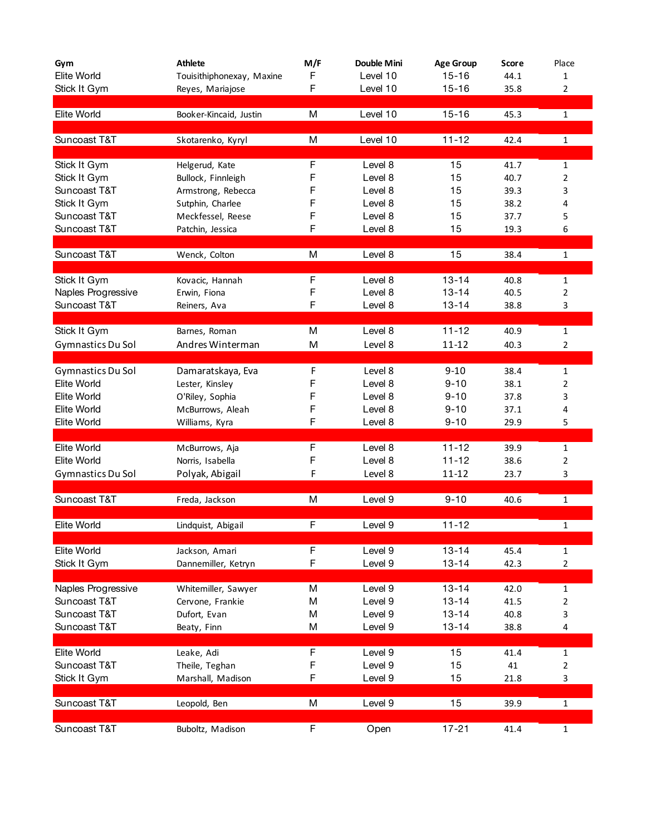| Gym                | <b>Athlete</b>            | M/F | Double Mini | <b>Age Group</b> | Score | Place          |
|--------------------|---------------------------|-----|-------------|------------------|-------|----------------|
| Elite World        | Touisithiphonexay, Maxine | F   | Level 10    | $15 - 16$        | 44.1  | 1              |
| Stick It Gym       | Reyes, Mariajose          | F   | Level 10    | $15 - 16$        | 35.8  | $\overline{2}$ |
|                    |                           |     |             |                  |       |                |
| Elite World        | Booker-Kincaid, Justin    | М   | Level 10    | $15 - 16$        | 45.3  | $\mathbf{1}$   |
|                    |                           |     |             |                  |       |                |
| Suncoast T&T       | Skotarenko, Kyryl         | М   | Level 10    | $11 - 12$        | 42.4  | $\mathbf{1}$   |
|                    |                           |     |             |                  |       |                |
| Stick It Gym       | Helgerud, Kate            | F   | Level 8     | 15               | 41.7  | $\mathbf{1}$   |
| Stick It Gym       | Bullock, Finnleigh        | F   | Level 8     | 15               | 40.7  | $\overline{2}$ |
| Suncoast T&T       | Armstrong, Rebecca        | F   | Level 8     | 15               | 39.3  | 3              |
| Stick It Gym       | Sutphin, Charlee          | F   | Level 8     | 15               | 38.2  | 4              |
| Suncoast T&T       | Meckfessel, Reese         | F   | Level 8     | 15               | 37.7  | 5              |
| Suncoast T&T       | Patchin, Jessica          | F   | Level 8     | 15               | 19.3  | 6              |
|                    |                           |     |             |                  |       |                |
| Suncoast T&T       | Wenck, Colton             | М   | Level 8     | 15               | 38.4  | $\mathbf 1$    |
|                    |                           |     |             |                  |       |                |
| Stick It Gym       | Kovacic, Hannah           | F   | Level 8     | $13 - 14$        | 40.8  | $\mathbf{1}$   |
| Naples Progressive | Erwin, Fiona              | F   | Level 8     | $13 - 14$        | 40.5  | 2              |
| Suncoast T&T       | Reiners, Ava              | F   | Level 8     | $13 - 14$        | 38.8  | 3              |
|                    |                           |     |             |                  |       |                |
| Stick It Gym       | Barnes, Roman             | М   | Level 8     | $11 - 12$        | 40.9  | $\mathbf{1}$   |
| Gymnastics Du Sol  | Andres Winterman          | M   | Level 8     | $11 - 12$        | 40.3  | $\overline{2}$ |
|                    |                           |     |             |                  |       |                |
| Gymnastics Du Sol  | Damaratskaya, Eva         | F   | Level 8     | $9 - 10$         | 38.4  | 1              |
| <b>Elite World</b> | Lester, Kinsley           | F   | Level 8     | $9 - 10$         | 38.1  | 2              |
| Elite World        | O'Riley, Sophia           | F   | Level 8     | $9 - 10$         | 37.8  | 3              |
| Elite World        | McBurrows, Aleah          | F   | Level 8     | $9 - 10$         | 37.1  | 4              |
| Elite World        | Williams, Kyra            | F   | Level 8     | $9 - 10$         | 29.9  | 5              |
|                    |                           |     |             |                  |       |                |
| Elite World        | McBurrows, Aja            | F   | Level 8     | $11 - 12$        | 39.9  | 1              |
| <b>Elite World</b> | Norris, Isabella          | F   | Level 8     | $11 - 12$        | 38.6  | 2              |
| Gymnastics Du Sol  | Polyak, Abigail           | F   | Level 8     | 11-12            | 23.7  | 3              |
| Suncoast T&T       |                           | M   | Level 9     | $9 - 10$         |       |                |
|                    | Freda, Jackson            |     |             |                  | 40.6  | $\mathbf{1}$   |
| Elite World        | Lindquist, Abigail        | F   | Level 9     | $11 - 12$        |       | 1              |
|                    |                           |     |             |                  |       |                |
| Elite World        | Jackson, Amari            | F   | Level 9     | $13 - 14$        | 45.4  | $\mathbf{1}$   |
| Stick It Gym       | Dannemiller, Ketryn       | F   | Level 9     | $13 - 14$        | 42.3  | $\overline{2}$ |
|                    |                           |     |             |                  |       |                |
| Naples Progressive | Whitemiller, Sawyer       | М   | Level 9     | $13 - 14$        | 42.0  | $\mathbf{1}$   |
| Suncoast T&T       | Cervone, Frankie          | Μ   | Level 9     | $13 - 14$        | 41.5  | $\overline{2}$ |
| Suncoast T&T       | Dufort, Evan              | М   | Level 9     | $13 - 14$        | 40.8  | 3              |
| Suncoast T&T       | Beaty, Finn               | Μ   | Level 9     | $13 - 14$        | 38.8  | 4              |
|                    |                           |     |             |                  |       |                |
| Elite World        | Leake, Adi                | F   | Level 9     | 15               | 41.4  | $\mathbf 1$    |
| Suncoast T&T       | Theile, Teghan            | F   | Level 9     | 15               | 41    | $\overline{2}$ |
| Stick It Gym       | Marshall, Madison         | F   | Level 9     | 15               | 21.8  | 3              |
|                    |                           |     |             |                  |       |                |
| Suncoast T&T       | Leopold, Ben              | M   | Level 9     | 15               | 39.9  | $\mathbf{1}$   |
|                    |                           |     |             |                  |       |                |
| Suncoast T&T       | Buboltz, Madison          | F   | Open        | $17 - 21$        | 41.4  | $\mathbf 1$    |